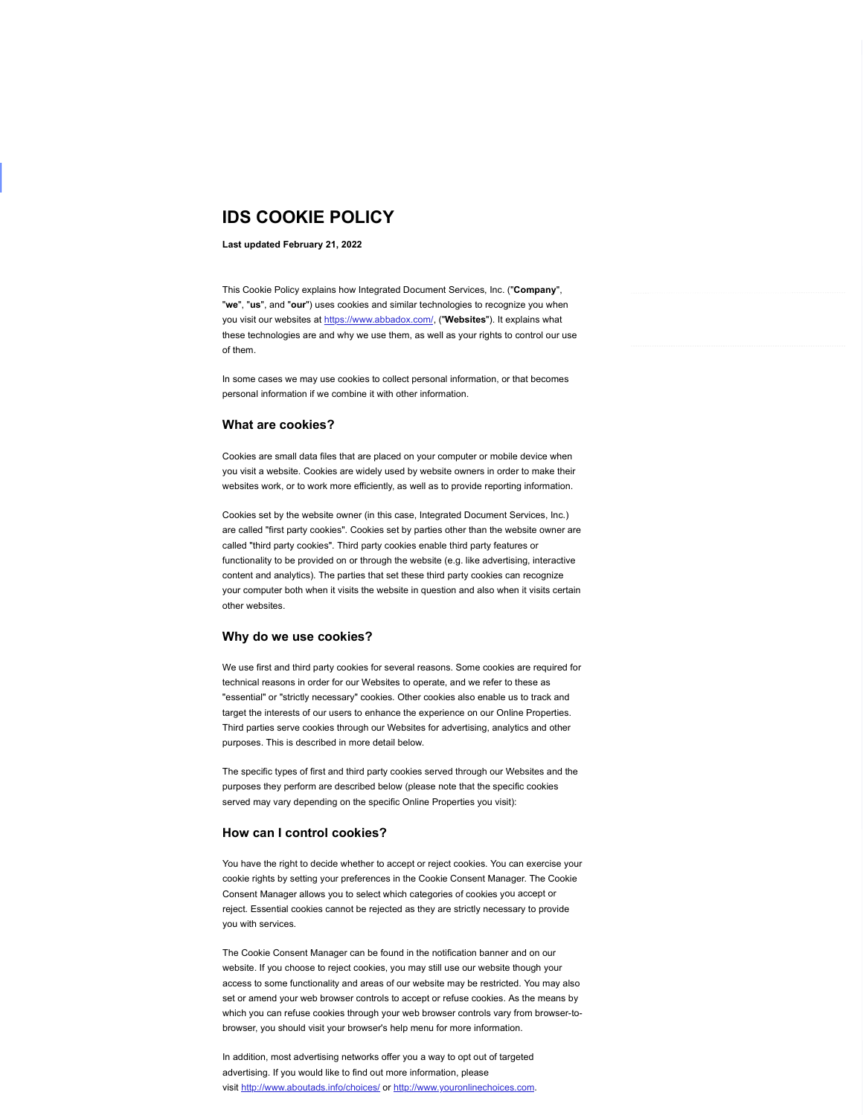# IDS COOKIE POLICY

### Last updated February 21, 2022

This Cookie Policy explains how Integrated Document Services, Inc. ("Company", "we", "us", and "our") uses cookies and similar technologies to recognize you when you visit our websites at https://www.abbadox.com/, ("Websites"). It explains what these technologies are and why we use them, as well as your rights to control our use of them.

In some cases we may use cookies to collect personal information, or that becomes personal information if we combine it with other information.

## What are cookies?

Cookies are small data files that are placed on your computer or mobile device when you visit a website. Cookies are widely used by website owners in order to make their websites work, or to work more efficiently, as well as to provide reporting information.

Cookies set by the website owner (in this case, Integrated Document Services, Inc.) are called "first party cookies". Cookies set by parties other than the website owner are called "third party cookies". Third party cookies enable third party features or functionality to be provided on or through the website (e.g. like advertising, interactive content and analytics). The parties that set these third party cookies can recognize your computer both when it visits the website in question and also when it visits certain other websites.

### Why do we use cookies?

We use first and third party cookies for several reasons. Some cookies are required for technical reasons in order for our Websites to operate, and we refer to these as "essential" or "strictly necessary" cookies. Other cookies also enable us to track and target the interests of our users to enhance the experience on our Online Properties. Third parties serve cookies through our Websites for advertising, analytics and other purposes. This is described in more detail below.

The specific types of first and third party cookies served through our Websites and the purposes they perform are described below (please note that the specific cookies served may vary depending on the specific Online Properties you visit):

### How can I control cookies?

You have the right to decide whether to accept or reject cookies. You can exercise your cookie rights by setting your preferences in the Cookie Consent Manager. The Cookie Consent Manager allows you to select which categories of cookies you accept or reject. Essential cookies cannot be rejected as they are strictly necessary to provide you with services.

The Cookie Consent Manager can be found in the notification banner and on our website. If you choose to reject cookies, you may still use our website though your access to some functionality and areas of our website may be restricted. You may also set or amend your web browser controls to accept or refuse cookies. As the means by which you can refuse cookies through your web browser controls vary from browser-tobrowser, you should visit your browser's help menu for more information.

In addition, most advertising networks offer you a way to opt out of targeted advertising. If you would like to find out more information, please visit http://www.aboutads.info/choices/ or http://www.youronlinechoices.com.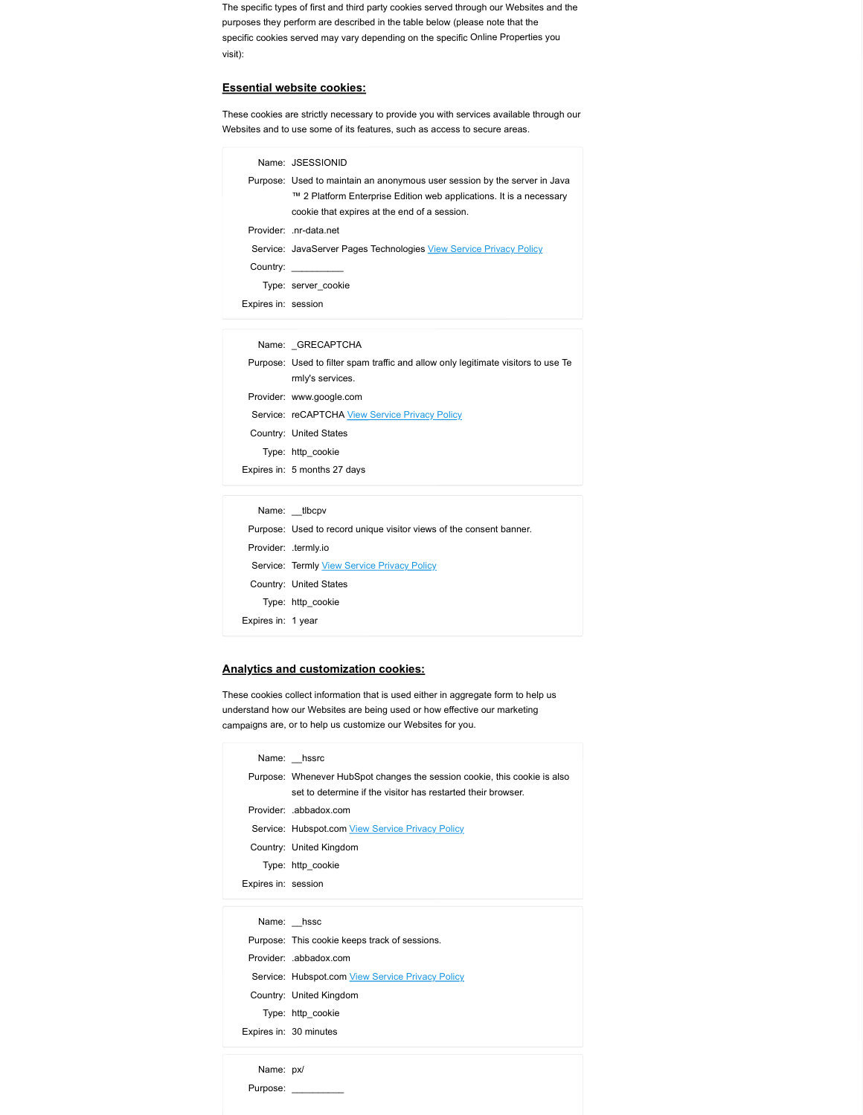### Essential website cookies:

|                     | he specific types of first and third party cookies served through our Websites and the<br>urposes they perform are described in the table below (please note that the |
|---------------------|-----------------------------------------------------------------------------------------------------------------------------------------------------------------------|
|                     | pecific cookies served may vary depending on the specific Online Properties you                                                                                       |
| sit):               |                                                                                                                                                                       |
|                     | ssential website cookies:                                                                                                                                             |
|                     | hese cookies are strictly necessary to provide you with services available through our                                                                                |
|                     | lebsites and to use some of its features, such as access to secure areas.                                                                                             |
|                     | Name: JSESSIONID                                                                                                                                                      |
|                     | Purpose: Used to maintain an anonymous user session by the server in Java                                                                                             |
|                     | ™ 2 Platform Enterprise Edition web applications. It is a necessary<br>cookie that expires at the end of a session.                                                   |
|                     | Provider: .nr-data.net                                                                                                                                                |
|                     | Service: JavaServer Pages Technologies View Service Privacy Policy                                                                                                    |
|                     | Country: __________                                                                                                                                                   |
|                     | Type: server_cookie                                                                                                                                                   |
| Expires in: session |                                                                                                                                                                       |
|                     | Name: _GRECAPTCHA                                                                                                                                                     |
|                     | Purpose: Used to filter spam traffic and allow only legitimate visitors to use Te                                                                                     |
|                     | rmly's services.                                                                                                                                                      |
|                     | Provider: www.google.com                                                                                                                                              |
|                     | Service: reCAPTCHA View Service Privacy Policy<br>Country: United States                                                                                              |
|                     | Type: http_cookie                                                                                                                                                     |
|                     | Expires in: 5 months 27 days                                                                                                                                          |
|                     | Name: _tlbcpv                                                                                                                                                         |
|                     | Purpose: Used to record unique visitor views of the consent banner.                                                                                                   |
|                     | Provider: .termly.io                                                                                                                                                  |
|                     | Service: Termly View Service Privacy Policy                                                                                                                           |
|                     | Country: United States                                                                                                                                                |
|                     | Type: http_cookie                                                                                                                                                     |
| Expires in: 1 year  |                                                                                                                                                                       |
|                     |                                                                                                                                                                       |
|                     | nalytics and customization cookies:                                                                                                                                   |
|                     |                                                                                                                                                                       |

- 
- ovider: www.google.com<br>
evider: reCAPTCHA <u>View Service Privacy Policy</u><br>
Turnty: United States<br>
Here: it: 5 months 27 days<br>
Name: \_\_tbcpv<br>
Mame: \_\_tbcpv<br>
Mame: \_\_therpy<br>
here: The Mame: \_\_therpy<br>
wider: termly View Service

# Analytics and customization cookies:

|                     | Service: reCAPTCHA View Service Privacy Policy                                    |
|---------------------|-----------------------------------------------------------------------------------|
|                     | Country: United States                                                            |
|                     | Type: http_cookie                                                                 |
|                     | Expires in: 5 months 27 days                                                      |
|                     |                                                                                   |
|                     | Name: _tlbcpv                                                                     |
|                     | Purpose: Used to record unique visitor views of the consent banner.               |
|                     | Provider: .termly.io                                                              |
|                     | Service: Termly View Service Privacy Policy                                       |
|                     | Country: United States                                                            |
|                     | Type: http_cookie                                                                 |
| Expires in: 1 year  |                                                                                   |
|                     |                                                                                   |
|                     | Analytics and customization cookies:                                              |
|                     | hese cookies collect information that is used either in aggregate form to help us |
|                     | nderstand how our Websites are being used or how effective our marketing          |
|                     | ampaigns are, or to help us customize our Websites for you.                       |
|                     | Name: hssrc                                                                       |
|                     | Purpose: Whenever HubSpot changes the session cookie, this cookie is also         |
|                     | set to determine if the visitor has restarted their browser.                      |
|                     | Provider: .abbadox.com                                                            |
|                     | Service: Hubspot.com View Service Privacy Policy                                  |
|                     | Country: United Kingdom                                                           |
|                     | Type: http_cookie                                                                 |
| Expires in: session |                                                                                   |
|                     |                                                                                   |
|                     | Name: hssc                                                                        |
|                     | Purpose: This cookie keeps track of sessions.                                     |
|                     | Provider: .abbadox.com                                                            |
|                     | Service: Hubspot.com View Service Privacy Policy                                  |
|                     | Country: United Kingdom                                                           |
|                     | Type: http_cookie                                                                 |
|                     | Expires in: 30 minutes                                                            |
| Name: px/           |                                                                                   |
|                     | Purpose: __________                                                               |
|                     |                                                                                   |
|                     |                                                                                   |
|                     |                                                                                   |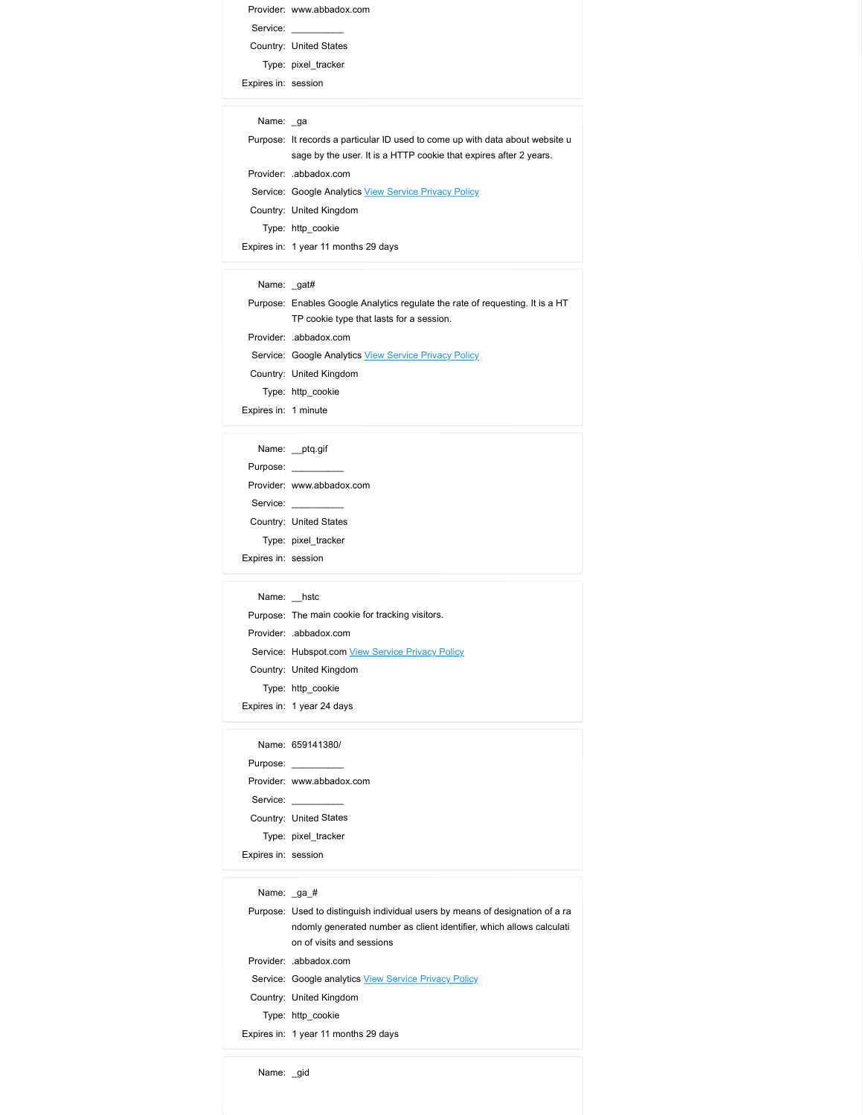|                      | Provider: www.abbadox.com                                                     |
|----------------------|-------------------------------------------------------------------------------|
|                      | Service:                                                                      |
|                      | Country: United States                                                        |
| Expires in: session  | Type: pixel_tracker                                                           |
|                      |                                                                               |
|                      |                                                                               |
| Name: _ga            |                                                                               |
|                      | Purpose: It records a particular ID used to come up with data about website u |
|                      | sage by the user. It is a HTTP cookie that expires after 2 years.             |
|                      | Provider: .abbadox.com                                                        |
|                      | Service: Google Analytics View Service Privacy Policy                         |
|                      | Country: United Kingdom                                                       |
|                      | Type: http_cookie<br>Expires in: 1 year 11 months 29 days                     |
|                      |                                                                               |
| Name: _gat#          |                                                                               |
|                      | Purpose: Enables Google Analytics regulate the rate of requesting. It is a HT |
|                      | TP cookie type that lasts for a session.                                      |
|                      | Provider: .abbadox.com                                                        |
|                      | Service: Google Analytics View Service Privacy Policy                         |
|                      | Country: United Kingdom                                                       |
| Expires in: 1 minute | Type: http_cookie                                                             |
|                      |                                                                               |
|                      | Name: _ptq.gif                                                                |

|                             | Country: United States                                                        |
|-----------------------------|-------------------------------------------------------------------------------|
|                             | Type: pixel_tracker                                                           |
| Expires in: session         |                                                                               |
|                             |                                                                               |
| Name: ga                    |                                                                               |
|                             | Purpose: It records a particular ID used to come up with data about website u |
|                             | sage by the user. It is a HTTP cookie that expires after 2 years.             |
|                             | Provider: .abbadox.com                                                        |
|                             | Service: Google Analytics View Service Privacy Policy                         |
|                             | Country: United Kingdom                                                       |
|                             | Type: http_cookie                                                             |
|                             | Expires in: 1 year 11 months 29 days                                          |
|                             |                                                                               |
| Name: _gat#                 |                                                                               |
|                             | Purpose: Enables Google Analytics regulate the rate of requesting. It is a HT |
|                             | TP cookie type that lasts for a session.                                      |
|                             | Provider: .abbadox.com                                                        |
|                             | Service: Google Analytics View Service Privacy Policy                         |
|                             | Country: United Kingdom                                                       |
|                             | Type: http_cookie                                                             |
| Expires in: 1 minute        |                                                                               |
|                             |                                                                               |
|                             | Name: _ptq.gif                                                                |
|                             |                                                                               |
|                             | Provider: www.abbadox.com                                                     |
|                             | Service: __________                                                           |
|                             | Country: United States                                                        |
|                             | Type: pixel_tracker                                                           |
| Experience they are a state |                                                                               |

|                      | Name: _ga                                                                                                                                          |
|----------------------|----------------------------------------------------------------------------------------------------------------------------------------------------|
|                      | Purpose: It records a particular ID used to come up with data about website u<br>sage by the user. It is a HTTP cookie that expires after 2 years. |
|                      | Provider: .abbadox.com                                                                                                                             |
|                      | Service: Google Analytics View Service Privacy Policy                                                                                              |
|                      | Country: United Kingdom                                                                                                                            |
|                      | Type: http_cookie                                                                                                                                  |
|                      | Expires in: 1 year 11 months 29 days                                                                                                               |
|                      |                                                                                                                                                    |
| Name: _gat#          |                                                                                                                                                    |
|                      | Purpose: Enables Google Analytics regulate the rate of requesting. It is a HT                                                                      |
|                      | TP cookie type that lasts for a session.                                                                                                           |
|                      | Provider: .abbadox.com                                                                                                                             |
|                      | Service: Google Analytics View Service Privacy Policy                                                                                              |
|                      | Country: United Kingdom                                                                                                                            |
|                      | Type: http_cookie                                                                                                                                  |
| Expires in: 1 minute |                                                                                                                                                    |
|                      |                                                                                                                                                    |
|                      | Name: _ptq.gif                                                                                                                                     |
|                      | Purpose:                                                                                                                                           |
|                      | Provider: www.abbadox.com                                                                                                                          |
|                      | Service:                                                                                                                                           |
|                      | Country: United States                                                                                                                             |
|                      | Type: pixel_tracker                                                                                                                                |
| Expires in: session  |                                                                                                                                                    |
| Name: hstc           |                                                                                                                                                    |
|                      |                                                                                                                                                    |
|                      |                                                                                                                                                    |
|                      | Purpose: The main cookie for tracking visitors.                                                                                                    |
|                      | Provider: .abbadox.com                                                                                                                             |
|                      | Service: Hubspot.com View Service Privacy Policy<br>Country: United Kingdom                                                                        |
|                      | Type: http_cookie                                                                                                                                  |
|                      | Expires in: 1 year 24 days                                                                                                                         |
|                      |                                                                                                                                                    |
|                      | Name: 659141380/                                                                                                                                   |
|                      | Purpose: __________                                                                                                                                |
|                      | Provider: www.abbadox.com                                                                                                                          |
|                      |                                                                                                                                                    |
|                      | Service:<br>Country: United States                                                                                                                 |
|                      | Type: pixel_tracker                                                                                                                                |
| Expires in: session  |                                                                                                                                                    |
|                      |                                                                                                                                                    |
| Name: _ga_#          |                                                                                                                                                    |
|                      | Purpose: Used to distinguish individual users by means of designation of a ra                                                                      |
|                      | ndomly generated number as client identifier, which allows calculati<br>on of visits and sessions                                                  |

| ivarne: | nsic |
|---------|------|
|         |      |
|         |      |

| Purpose: The main cookie for tracking visitors.  |
|--------------------------------------------------|
| Provider: abbadox.com                            |
| Service: Hubspot.com View Service Privacy Policy |
| Country: United Kingdom                          |
| Type: http cookie                                |
| Expires in: 1 year 24 days                       |

|                     | Name: 659141380/          |
|---------------------|---------------------------|
|                     | Purpose: _________        |
|                     | Provider: www.abbadox.com |
| Service:            |                           |
|                     | Country: United States    |
|                     | Type: pixel tracker       |
| Expires in: session |                           |

|                     | Couring. Officed States                                                       |
|---------------------|-------------------------------------------------------------------------------|
|                     | Type: pixel_tracker                                                           |
| Expires in: session |                                                                               |
|                     |                                                                               |
|                     | Name: hstc                                                                    |
|                     | Purpose: The main cookie for tracking visitors.                               |
|                     | Provider: .abbadox.com                                                        |
|                     | Service: Hubspot.com View Service Privacy Policy                              |
|                     | Country: United Kingdom                                                       |
|                     | Type: http_cookie                                                             |
|                     | Expires in: 1 year 24 days                                                    |
|                     |                                                                               |
|                     | Name: 659141380/                                                              |
|                     | Purpose: __________                                                           |
|                     | Provider: www.abbadox.com                                                     |
|                     | Service: __________                                                           |
|                     | Country: United States                                                        |
|                     | Type: pixel_tracker                                                           |
|                     |                                                                               |
| Expires in: session |                                                                               |
| Name: _ga_#         |                                                                               |
|                     | Purpose: Used to distinguish individual users by means of designation of a ra |
|                     | ndomly generated number as client identifier, which allows calculati          |
|                     | on of visits and sessions                                                     |
|                     | Provider: .abbadox.com                                                        |
|                     | Service: Google analytics View Service Privacy Policy                         |
|                     | Country: United Kingdom                                                       |
|                     | Type: http_cookie                                                             |
|                     | Expires in: 1 year 11 months 29 days                                          |
|                     |                                                                               |
| Name: _gid          |                                                                               |
|                     |                                                                               |
|                     |                                                                               |
|                     |                                                                               |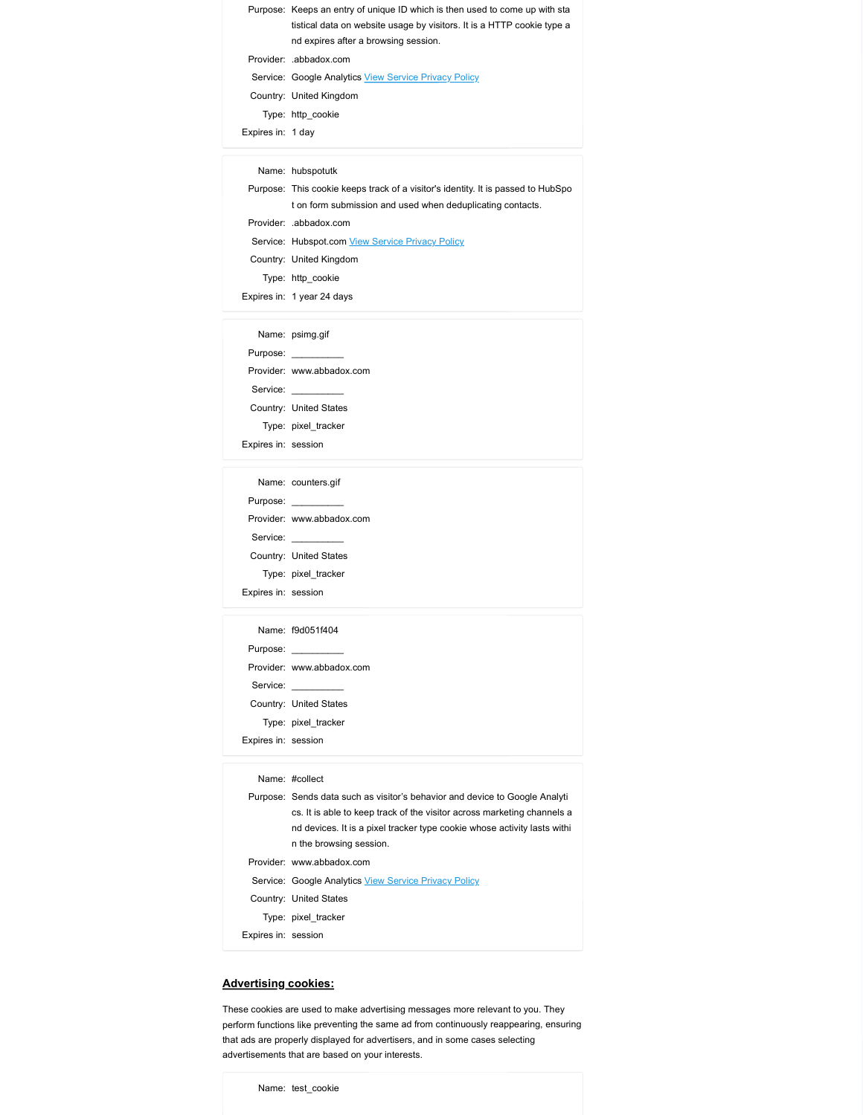|                     | Purpose: Keeps an entry of unique ID which is then used to come up with sta<br>tistical data on website usage by visitors. It is a HTTP cookie type a |
|---------------------|-------------------------------------------------------------------------------------------------------------------------------------------------------|
|                     | nd expires after a browsing session.                                                                                                                  |
|                     | Provider: .abbadox.com                                                                                                                                |
|                     | Service: Google Analytics View Service Privacy Policy                                                                                                 |
|                     | Country: United Kingdom                                                                                                                               |
|                     | Type: http_cookie                                                                                                                                     |
| Expires in: 1 day   |                                                                                                                                                       |
|                     |                                                                                                                                                       |
|                     | Name: hubspotutk                                                                                                                                      |
|                     | Purpose: This cookie keeps track of a visitor's identity. It is passed to HubSpo<br>t on form submission and used when deduplicating contacts.        |
|                     | Provider: .abbadox.com                                                                                                                                |
|                     |                                                                                                                                                       |
|                     | Service: Hubspot.com View Service Privacy Policy                                                                                                      |
|                     | Country: United Kingdom                                                                                                                               |
|                     | Type: http_cookie                                                                                                                                     |
|                     | Expires in: 1 year 24 days                                                                                                                            |
|                     |                                                                                                                                                       |
|                     | Name: psimg.gif                                                                                                                                       |
|                     | Purpose: __________                                                                                                                                   |
|                     | Provider: www.abbadox.com                                                                                                                             |
|                     | Service:                                                                                                                                              |
|                     | Country: United States                                                                                                                                |
| Expires in: session | Type: pixel_tracker                                                                                                                                   |

|                     | tistical data on website usage by visitors. It is a HTTP cookie type a           |
|---------------------|----------------------------------------------------------------------------------|
|                     | nd expires after a browsing session.                                             |
|                     | Provider: .abbadox.com                                                           |
|                     | Service: Google Analytics View Service Privacy Policy                            |
|                     | Country: United Kingdom                                                          |
|                     | Type: http_cookie                                                                |
| Expires in: 1 day   |                                                                                  |
|                     |                                                                                  |
|                     | Name: hubspotutk                                                                 |
|                     | Purpose: This cookie keeps track of a visitor's identity. It is passed to HubSpo |
|                     | t on form submission and used when deduplicating contacts.                       |
|                     | Provider: .abbadox.com                                                           |
|                     | Service: Hubspot.com View Service Privacy Policy                                 |
|                     | Country: United Kingdom                                                          |
|                     | Type: http_cookie                                                                |
|                     | Expires in: 1 year 24 days                                                       |
|                     |                                                                                  |
|                     | Name: psimg.gif                                                                  |
|                     | Purpose: __________                                                              |
|                     | Provider: www.abbadox.com                                                        |
|                     | Service:                                                                         |
|                     | Country: United States                                                           |
|                     | Type: pixel_tracker                                                              |
| Expires in: session |                                                                                  |
|                     |                                                                                  |
|                     | Name: counters.gif                                                               |
|                     | Purpose: __________                                                              |
|                     | Provider: www.abbadox.com                                                        |
|                     | Service: _________                                                               |
|                     | Country: United States                                                           |
|                     | Type: pixel_tracker                                                              |
| Expires in: session |                                                                                  |
|                     |                                                                                  |
|                     | Name: f9d051f404                                                                 |
|                     | Purpose: ________                                                                |
|                     | Provider: www.abbadox.com                                                        |
|                     |                                                                                  |

|                     | Name: psimg.gif           |
|---------------------|---------------------------|
|                     | Purpose: __________       |
|                     | Provider: www.abbadox.com |
|                     | Service:                  |
|                     | Country: United States    |
|                     | Type: pixel tracker       |
| Expires in: session |                           |
|                     |                           |

| Name: counters.gif        |
|---------------------------|
| Purpose: _________        |
| Provider: www.abbadox.com |
| Service:                  |
| Country: United States    |
| Type: pixel tracker       |
| Expires in: session       |
|                           |

|                     | Country. United Ningdonn                                                    |
|---------------------|-----------------------------------------------------------------------------|
|                     | Type: http_cookie                                                           |
|                     | Expires in: 1 year 24 days                                                  |
|                     |                                                                             |
|                     | Name: psimg.gif                                                             |
|                     |                                                                             |
|                     | Provider: www.abbadox.com                                                   |
|                     | Service:                                                                    |
|                     | Country: United States                                                      |
|                     | Type: pixel_tracker                                                         |
| Expires in: session |                                                                             |
|                     |                                                                             |
|                     | Name: counters.gif                                                          |
|                     | Purpose: _________                                                          |
|                     | Provider: www.abbadox.com                                                   |
|                     | Service:                                                                    |
|                     | Country: United States                                                      |
|                     | Type: pixel_tracker                                                         |
| Expires in: session |                                                                             |
|                     |                                                                             |
|                     | Name: f9d051f404                                                            |
|                     | Purpose: _________                                                          |
|                     | Provider: www.abbadox.com                                                   |
|                     | Service: __________                                                         |
|                     | Country: United States                                                      |
|                     | Type: pixel_tracker                                                         |
| Expires in: session |                                                                             |
|                     |                                                                             |
|                     | Name: #collect                                                              |
|                     | Purpose: Sends data such as visitor's behavior and device to Google Analyti |
|                     | cs. It is able to keep track of the visitor across marketing channels a     |
|                     | nd devices. It is a pixel tracker type cookie whose activity lasts withi    |
|                     | n the browsing session.                                                     |
|                     | Provider: www.abbadox.com                                                   |

| Expires in: session<br>Name: counters.gif<br>Purpose: __________<br>Provider: www.abbadox.com<br>Service: _________<br>Country: United States<br>Type: pixel_tracker<br>Expires in: session<br>Name: f9d051f404<br>Purpose: _________<br>Provider: www.abbadox.com<br>Service: __________<br>Country: United States<br>Type: pixel_tracker<br>Expires in: session<br>Name: #collect<br>Purpose: Sends data such as visitor's behavior and device to Google Analyti<br>cs. It is able to keep track of the visitor across marketing channels a<br>nd devices. It is a pixel tracker type cookie whose activity lasts withi<br>n the browsing session.<br>Provider: www.abbadox.com<br>Service: Google Analytics View Service Privacy Policy<br>Country: United States<br>Type: pixel_tracker<br>Expires in: session<br>vertising cookies: | iype. pixei_uacker |
|------------------------------------------------------------------------------------------------------------------------------------------------------------------------------------------------------------------------------------------------------------------------------------------------------------------------------------------------------------------------------------------------------------------------------------------------------------------------------------------------------------------------------------------------------------------------------------------------------------------------------------------------------------------------------------------------------------------------------------------------------------------------------------------------------------------------------------------|--------------------|
|                                                                                                                                                                                                                                                                                                                                                                                                                                                                                                                                                                                                                                                                                                                                                                                                                                          |                    |
|                                                                                                                                                                                                                                                                                                                                                                                                                                                                                                                                                                                                                                                                                                                                                                                                                                          |                    |
|                                                                                                                                                                                                                                                                                                                                                                                                                                                                                                                                                                                                                                                                                                                                                                                                                                          |                    |
|                                                                                                                                                                                                                                                                                                                                                                                                                                                                                                                                                                                                                                                                                                                                                                                                                                          |                    |
|                                                                                                                                                                                                                                                                                                                                                                                                                                                                                                                                                                                                                                                                                                                                                                                                                                          |                    |
|                                                                                                                                                                                                                                                                                                                                                                                                                                                                                                                                                                                                                                                                                                                                                                                                                                          |                    |
|                                                                                                                                                                                                                                                                                                                                                                                                                                                                                                                                                                                                                                                                                                                                                                                                                                          |                    |
|                                                                                                                                                                                                                                                                                                                                                                                                                                                                                                                                                                                                                                                                                                                                                                                                                                          |                    |
|                                                                                                                                                                                                                                                                                                                                                                                                                                                                                                                                                                                                                                                                                                                                                                                                                                          |                    |
|                                                                                                                                                                                                                                                                                                                                                                                                                                                                                                                                                                                                                                                                                                                                                                                                                                          |                    |
|                                                                                                                                                                                                                                                                                                                                                                                                                                                                                                                                                                                                                                                                                                                                                                                                                                          |                    |
|                                                                                                                                                                                                                                                                                                                                                                                                                                                                                                                                                                                                                                                                                                                                                                                                                                          |                    |
|                                                                                                                                                                                                                                                                                                                                                                                                                                                                                                                                                                                                                                                                                                                                                                                                                                          |                    |
|                                                                                                                                                                                                                                                                                                                                                                                                                                                                                                                                                                                                                                                                                                                                                                                                                                          |                    |
|                                                                                                                                                                                                                                                                                                                                                                                                                                                                                                                                                                                                                                                                                                                                                                                                                                          |                    |
|                                                                                                                                                                                                                                                                                                                                                                                                                                                                                                                                                                                                                                                                                                                                                                                                                                          |                    |
|                                                                                                                                                                                                                                                                                                                                                                                                                                                                                                                                                                                                                                                                                                                                                                                                                                          |                    |
|                                                                                                                                                                                                                                                                                                                                                                                                                                                                                                                                                                                                                                                                                                                                                                                                                                          |                    |
|                                                                                                                                                                                                                                                                                                                                                                                                                                                                                                                                                                                                                                                                                                                                                                                                                                          |                    |
|                                                                                                                                                                                                                                                                                                                                                                                                                                                                                                                                                                                                                                                                                                                                                                                                                                          |                    |
|                                                                                                                                                                                                                                                                                                                                                                                                                                                                                                                                                                                                                                                                                                                                                                                                                                          |                    |
|                                                                                                                                                                                                                                                                                                                                                                                                                                                                                                                                                                                                                                                                                                                                                                                                                                          |                    |
|                                                                                                                                                                                                                                                                                                                                                                                                                                                                                                                                                                                                                                                                                                                                                                                                                                          |                    |
|                                                                                                                                                                                                                                                                                                                                                                                                                                                                                                                                                                                                                                                                                                                                                                                                                                          |                    |
|                                                                                                                                                                                                                                                                                                                                                                                                                                                                                                                                                                                                                                                                                                                                                                                                                                          |                    |
|                                                                                                                                                                                                                                                                                                                                                                                                                                                                                                                                                                                                                                                                                                                                                                                                                                          |                    |
|                                                                                                                                                                                                                                                                                                                                                                                                                                                                                                                                                                                                                                                                                                                                                                                                                                          |                    |
|                                                                                                                                                                                                                                                                                                                                                                                                                                                                                                                                                                                                                                                                                                                                                                                                                                          |                    |
|                                                                                                                                                                                                                                                                                                                                                                                                                                                                                                                                                                                                                                                                                                                                                                                                                                          |                    |
|                                                                                                                                                                                                                                                                                                                                                                                                                                                                                                                                                                                                                                                                                                                                                                                                                                          |                    |
|                                                                                                                                                                                                                                                                                                                                                                                                                                                                                                                                                                                                                                                                                                                                                                                                                                          |                    |
| se cookies are used to make advertising messages more relevant to you. They                                                                                                                                                                                                                                                                                                                                                                                                                                                                                                                                                                                                                                                                                                                                                              |                    |
| form functions like preventing the same ad from continuously reappearing, ensuring                                                                                                                                                                                                                                                                                                                                                                                                                                                                                                                                                                                                                                                                                                                                                       |                    |
| ads are properly displayed for advertisers, and in some cases selecting                                                                                                                                                                                                                                                                                                                                                                                                                                                                                                                                                                                                                                                                                                                                                                  |                    |
| ertisements that are based on your interests.                                                                                                                                                                                                                                                                                                                                                                                                                                                                                                                                                                                                                                                                                                                                                                                            |                    |
|                                                                                                                                                                                                                                                                                                                                                                                                                                                                                                                                                                                                                                                                                                                                                                                                                                          |                    |
|                                                                                                                                                                                                                                                                                                                                                                                                                                                                                                                                                                                                                                                                                                                                                                                                                                          |                    |
| Name: test_cookie                                                                                                                                                                                                                                                                                                                                                                                                                                                                                                                                                                                                                                                                                                                                                                                                                        |                    |
|                                                                                                                                                                                                                                                                                                                                                                                                                                                                                                                                                                                                                                                                                                                                                                                                                                          |                    |
|                                                                                                                                                                                                                                                                                                                                                                                                                                                                                                                                                                                                                                                                                                                                                                                                                                          |                    |
|                                                                                                                                                                                                                                                                                                                                                                                                                                                                                                                                                                                                                                                                                                                                                                                                                                          |                    |
|                                                                                                                                                                                                                                                                                                                                                                                                                                                                                                                                                                                                                                                                                                                                                                                                                                          |                    |
|                                                                                                                                                                                                                                                                                                                                                                                                                                                                                                                                                                                                                                                                                                                                                                                                                                          |                    |
|                                                                                                                                                                                                                                                                                                                                                                                                                                                                                                                                                                                                                                                                                                                                                                                                                                          |                    |
|                                                                                                                                                                                                                                                                                                                                                                                                                                                                                                                                                                                                                                                                                                                                                                                                                                          |                    |
|                                                                                                                                                                                                                                                                                                                                                                                                                                                                                                                                                                                                                                                                                                                                                                                                                                          |                    |
|                                                                                                                                                                                                                                                                                                                                                                                                                                                                                                                                                                                                                                                                                                                                                                                                                                          |                    |
|                                                                                                                                                                                                                                                                                                                                                                                                                                                                                                                                                                                                                                                                                                                                                                                                                                          |                    |
|                                                                                                                                                                                                                                                                                                                                                                                                                                                                                                                                                                                                                                                                                                                                                                                                                                          |                    |
|                                                                                                                                                                                                                                                                                                                                                                                                                                                                                                                                                                                                                                                                                                                                                                                                                                          |                    |
|                                                                                                                                                                                                                                                                                                                                                                                                                                                                                                                                                                                                                                                                                                                                                                                                                                          |                    |
|                                                                                                                                                                                                                                                                                                                                                                                                                                                                                                                                                                                                                                                                                                                                                                                                                                          |                    |
|                                                                                                                                                                                                                                                                                                                                                                                                                                                                                                                                                                                                                                                                                                                                                                                                                                          |                    |
|                                                                                                                                                                                                                                                                                                                                                                                                                                                                                                                                                                                                                                                                                                                                                                                                                                          |                    |

# Advertising cookies: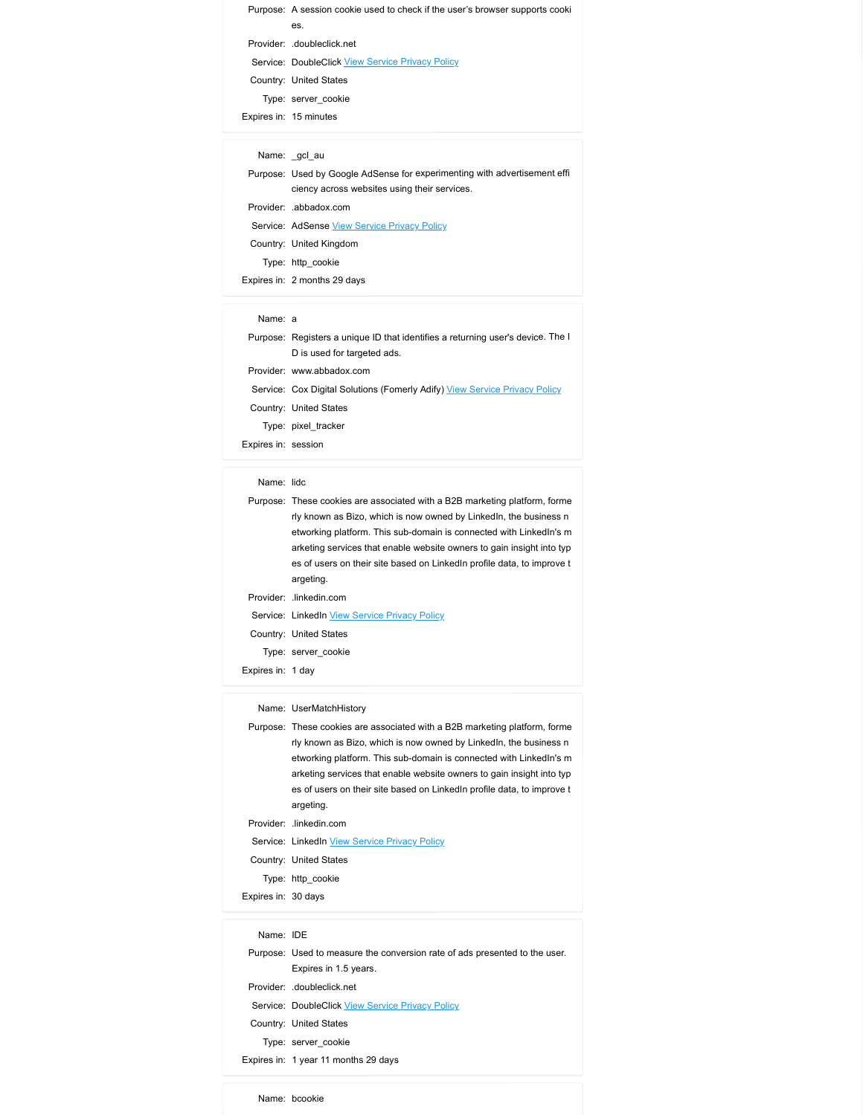Purpose: A session cookie used to check if the user's browser supports cooki<br>
es.<br>
Provider: .doubleclick.net<br>
Service: DoubleClick <u>View Service Privacy Policy</u><br>
Country: United States<br>
Type: server\_cookie<br>
xpires in: 15 Purpose: A session cookie used to check if the user's browser supports cookiemples.<br>
Provider: doubleclick Liew Service Privacy Policy<br>
Service: DoubleClick <u>View Service Privacy Policy</u><br>
Country: United States<br>
Type: serv Provider: A session cookie used to check if the user's browser supports cooki<br>
es.<br>
Provider: .doubleclick <u>View Service Privacy Policy</u><br>
Country: United States<br>
Type: server\_cookie<br>
spires in: 15 minutes<br>
Name: \_gcl\_au pose: A session cookie used to check if the user's browser supports cooki<br>
es.<br>
vider: .doubleClick <u>View Service Privacy Policy</u><br>
untry: United States<br>
Type: server\_cookie<br>
es in: 15 minutes<br>
lame: \_gcl\_au<br>
pose: Used by Purpose: A session cookie used to check if the user's browser supports cooki<br>
es.<br>
Provider: .doubleClick.net<br>
Service: DoubleClick <u>View Service Privacy Policy</u><br>
Country: United States<br>
Type: server\_cookie<br>
Expires in: 15 rpose: A session cookie used to check if the user's browser supports cooki<br>
es.<br>
sovider: .doubleClick.net<br>
revice: DoubleClick <u>View Service Privacy Policy</u><br>
suntry: United States<br>
Type: server\_cookie<br>
Name: \_gcl\_au<br>
Name Purpose: A session cookie used to check if the user's browser supports cookies.<br>
Frovider: .doubleClick <u>View Service Privacy Policy</u><br>
Country: United States<br>
Type: server\_cookie<br>
Type: server\_cookie<br>
Mame: \_gd\_au<br>
Purpose Purpose: A session cookie used to check if the user's browser supports cookies.<br>
Erovider: .doubleclick.net<br>
Provider: .doubleclick <u>View Service Privacy Policy</u><br>
Country: United States<br>
Type: server\_cookie<br>
spress into th Purpose: A session cookie used to check if the user's browser supports cookies:<br>
es.<br>
Service: AdobleClick <u>View Service Privacy Policy</u><br>
Sounty: United States<br>
Type: server\_cookie<br>
pires in: 15 minutes<br>
Name: \_gcl\_au<br>
ur Purpose: A session cookie used to check if the user's browser supports cookiented conducted the series of the series of the Service Privacy Policy County: United States<br>
Type: server\_cookiented Service Privacy Policy<br>
Coun pose: A session cookie used to check if the user's browser supports cookies.<br>
es.<br>
wider: .doubleclick <u>View Service Privacy Policy</u><br>
untry: United States<br>
Type: server\_cookie<br>
sin: 15 minutes<br>
lame:<br>
Japan<br>
Japan<br>
pose: U Purpose: A session cookie used to check if the user's browser supports cookie<br>
Provider: .doubleClick.htet<br>
Service: DoubleClick <u>View Service Privacy Policy</u><br>
Country: United States<br>
Type: server\_cookie<br>
Expires in: 15 mi rpose: A session cookie used to check if the user's browser supports cookie<br>
est.<br>
ervice: DoubleClick <u>View Service Privacy Policy</u><br>
suvide: doubleClick <u>View Service Privacy Policy</u><br>
1790: server\_cookie<br>
ersin: 15 minute Purpose: Resesion cookie used to check if the user's browser supports cookiener.<br>
Provider: .doubleclick <u>New Service Privacy Policy</u><br>
Torumy: United States<br>
There severe cookience<br>
There in the Individes<br>
Inviews: Itsel b Purpose: A session cookie used to check if the user's browser supports cookient;<br>
encourts: CoubleClick View Service Privacy Policy<br>
Provider: JoubleClick View Service Privacy Policy<br>
Type: snaver cookie<br>
Type: snaver cook

|  | Purpose: Used by Google AdSense for experimenting with advertisement effi- |  |
|--|----------------------------------------------------------------------------|--|
|  | ciency across websites using their services.                               |  |
|  | Provider: .abbadox.com                                                     |  |
|  | Service: AdSense View Service Privacy Policy                               |  |
|  |                                                                            |  |

|                     | es.                                                                                 |
|---------------------|-------------------------------------------------------------------------------------|
|                     | Provider: .doubleclick.net                                                          |
|                     | Service: DoubleClick View Service Privacy Policy                                    |
|                     | Country: United States                                                              |
|                     | Type: server cookie                                                                 |
|                     | Expires in: 15 minutes                                                              |
|                     |                                                                                     |
|                     | Name: _gcl_au                                                                       |
|                     | Purpose: Used by Google AdSense for experimenting with advertisement effi           |
|                     | ciency across websites using their services.                                        |
|                     | Provider: .abbadox.com                                                              |
|                     | Service: AdSense View Service Privacy Policy                                        |
|                     | Country: United Kingdom                                                             |
|                     | Type: http_cookie                                                                   |
|                     | Expires in: 2 months 29 days                                                        |
|                     |                                                                                     |
|                     |                                                                                     |
| Name: a             |                                                                                     |
|                     | Purpose: Registers a unique ID that identifies a returning user's device. The I     |
|                     | D is used for targeted ads.                                                         |
|                     | Provider: www.abbadox.com                                                           |
|                     | Service: Cox Digital Solutions (Fomerly Adify) View Service Privacy Policy          |
|                     | Country: United States                                                              |
|                     | Type: pixel_tracker                                                                 |
| Expires in: session |                                                                                     |
|                     |                                                                                     |
| Name: lidc          |                                                                                     |
|                     | Purpose: These cookies are associated with a B2B marketing platform, forme          |
|                     | rly known as Bizo, which is now owned by Linkedln, the business n                   |
|                     | etworking platform. This sub-domain is connected with LinkedIn's m                  |
|                     | arketing services that enable website owners to gain insight into typ               |
|                     | es of users on their site based on LinkedIn profile data, to improve t<br>argeting. |

|                     | <u>Jervice.</u> Adderise <u>View Jervice Frivacy Folicy</u>                         |
|---------------------|-------------------------------------------------------------------------------------|
|                     | Country: United Kingdom                                                             |
|                     | Type: http_cookie                                                                   |
|                     | Expires in: 2 months 29 days                                                        |
|                     |                                                                                     |
| Name: a             |                                                                                     |
|                     | Purpose: Registers a unique ID that identifies a returning user's device. The I     |
|                     | D is used for targeted ads.                                                         |
|                     | Provider: www.abbadox.com                                                           |
|                     | Service: Cox Digital Solutions (Fomerly Adify) View Service Privacy Policy          |
|                     | Country: United States                                                              |
|                     | Type: pixel_tracker                                                                 |
| Expires in: session |                                                                                     |
|                     |                                                                                     |
| Name: lidc          |                                                                                     |
|                     | Purpose: These cookies are associated with a B2B marketing platform, forme          |
|                     | rly known as Bizo, which is now owned by LinkedIn, the business n                   |
|                     | etworking platform. This sub-domain is connected with LinkedIn's m                  |
|                     | arketing services that enable website owners to gain insight into typ               |
|                     | es of users on their site based on LinkedIn profile data, to improve t              |
|                     | argeting.                                                                           |
|                     | Provider: .linkedin.com                                                             |
|                     | Service: LinkedIn View Service Privacy Policy                                       |
|                     | Country: United States                                                              |
|                     | Type: server_cookie                                                                 |
| Expires in: 1 day   |                                                                                     |
|                     |                                                                                     |
|                     | Name: UserMatchHistory                                                              |
|                     | Purpose: These cookies are associated with a B2B marketing platform, forme          |
|                     | rly known as Bizo, which is now owned by Linkedln, the business n                   |
|                     | etworking platform. This sub-domain is connected with LinkedIn's m                  |
|                     | arketing services that enable website owners to gain insight into typ               |
|                     | es of users on their site based on LinkedIn profile data, to improve t<br>argeting. |
|                     |                                                                                     |

| Name: lidc          |                                                                                                                                                 |
|---------------------|-------------------------------------------------------------------------------------------------------------------------------------------------|
|                     | Purpose: These cookies are associated with a B2B marketing platform, forme<br>rly known as Bizo, which is now owned by LinkedIn, the business n |
|                     | etworking platform. This sub-domain is connected with LinkedIn's m                                                                              |
|                     | arketing services that enable website owners to gain insight into typ                                                                           |
|                     | es of users on their site based on LinkedIn profile data, to improve t                                                                          |
|                     | argeting.                                                                                                                                       |
|                     | Provider: .linkedin.com                                                                                                                         |
|                     | Service: LinkedIn View Service Privacy Policy                                                                                                   |
|                     | Country: United States                                                                                                                          |
|                     | Type: server_cookie                                                                                                                             |
| Expires in: 1 day   |                                                                                                                                                 |
|                     |                                                                                                                                                 |
|                     | Name: UserMatchHistory                                                                                                                          |
|                     | Purpose: These cookies are associated with a B2B marketing platform, forme                                                                      |
|                     | rly known as Bizo, which is now owned by LinkedIn, the business n                                                                               |
|                     | etworking platform. This sub-domain is connected with LinkedIn's m                                                                              |
|                     | arketing services that enable website owners to gain insight into typ                                                                           |
|                     | es of users on their site based on LinkedIn profile data, to improve t                                                                          |
|                     | argeting.                                                                                                                                       |
|                     | Provider: .linkedin.com                                                                                                                         |
|                     | Service: LinkedIn View Service Privacy Policy                                                                                                   |
|                     | Country: United States                                                                                                                          |
|                     | Type: http_cookie                                                                                                                               |
| Expires in: 30 days |                                                                                                                                                 |
|                     |                                                                                                                                                 |
| Name: IDE           |                                                                                                                                                 |
|                     | Purpose: Used to measure the conversion rate of ads presented to the user.                                                                      |
|                     | Expires in 1.5 years.                                                                                                                           |
|                     | Provider: .doubleclick.net                                                                                                                      |
|                     | Service: DoubleClick View Service Privacy Policy                                                                                                |
|                     | Country: United States                                                                                                                          |
|                     | Type: server_cookie                                                                                                                             |
|                     | Expires in: 1 year 11 months 29 days                                                                                                            |
|                     |                                                                                                                                                 |
|                     | Name: bcookie                                                                                                                                   |
|                     |                                                                                                                                                 |

| Name: IDE |                                                                        |
|-----------|------------------------------------------------------------------------|
|           | Purpose: Used to measure the conversion rate of ads presented to the u |
|           | Expires in 1.5 years.                                                  |
|           | Provider: doubleclick.net                                              |
|           | <b>Service: DoubleClick View Service Privacy Policy</b>                |
|           | Country: United States                                                 |
|           | Type: server cookie                                                    |
|           | $F$ vnires in: 1 vear 11 months 20 days                                |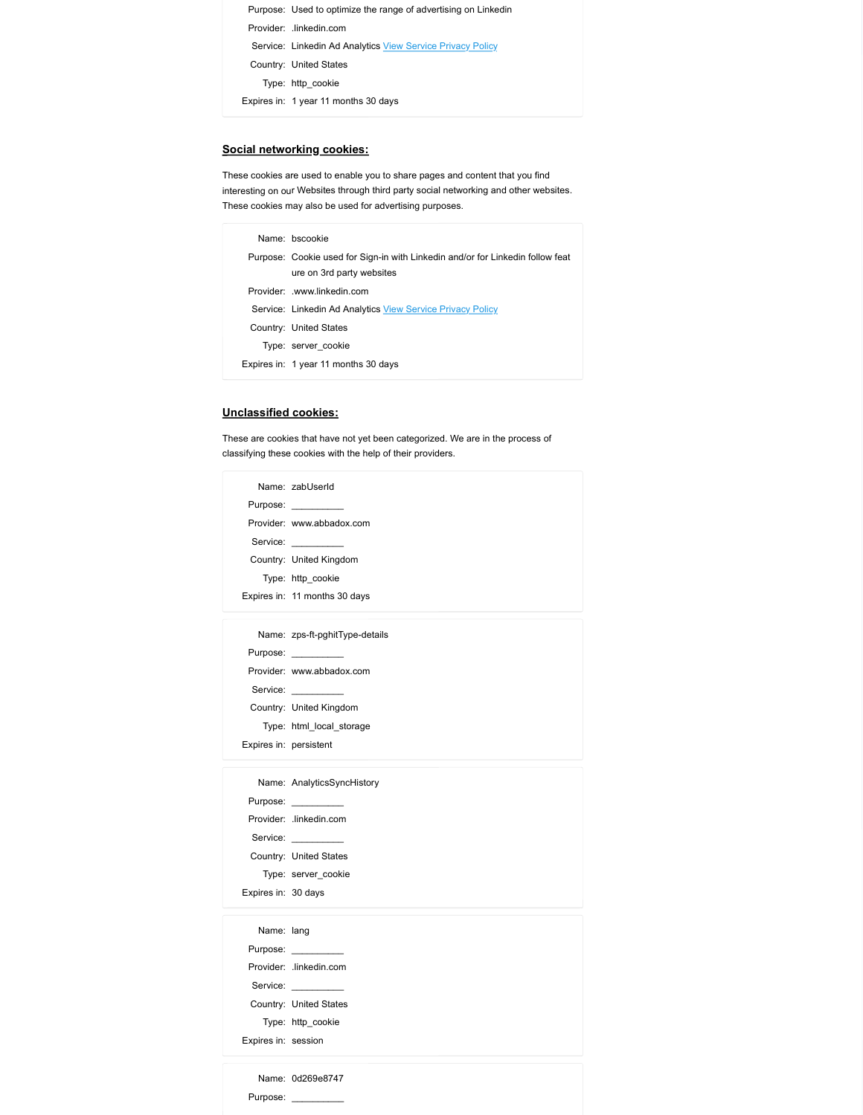```
Purpose: Used to optimize the range of advertising on Linkedin<br>Provider: .linkedin.com<br>Service: Linkedin Ad Analytics <u>View Service Privacy Policy</u><br>Country: United States<br>Type: http_cookie<br>united in A used A madrix 30 days
   Purpose: Used to optimize the range of advertising on Linkedin<br>Provider: .linkedin.com<br>Service: Linkedin Ad Analytics <u>View Service Privacy Policy</u><br>Country: United States<br>Type: http_cookie<br>xpires in: 1 year 11 months 30 da
    Purpose: Used to optimize the range of advertising on Linkedin<br>Provider: .linkedin.com<br>Service: Linkedin Ad Analytics <u>View Service Privacy Policy</u><br>Country: United States<br>Type: http_cookie<br>pires in: 1 year 11 months 30 day
   Purpose: Used to optimize the range of advertising on Linkedin<br>Provider: .linkedin.com<br>Service: Linkedin Ad Analytics <u>View Service Privacy Policy</u><br>Country: United States<br>Type: http_cookie<br>pires in: 1 year 11 months 30 day
         pose: Used to optimize the range of advertising on Linkedin<br>vider: .Linkedin.com<br>rvice: Linkedin Ad Analytics <u>View Service Privacy Policy</u><br>untry: United States<br>Type: http_cookie<br>es in: 1 year 11 months 30 days<br>networking 
Purpose: Used to optimize the range of advertising on Linkedin<br>
Provider: Linkedin.com<br>
Service: Linkedin Ad Analytics <u>View Service Privacy Policy</u><br>
Country: United States<br>
Type: http_cookie<br>
Expires in: 1 year 11 months
```
# Social networking cookies:

|                             | Purpose: Used to optimize the range of advertising on Linkedin                                                                              |
|-----------------------------|---------------------------------------------------------------------------------------------------------------------------------------------|
|                             | Provider: .linkedin.com                                                                                                                     |
|                             | Service: Linkedin Ad Analytics View Service Privacy Policy                                                                                  |
|                             | Country: United States                                                                                                                      |
|                             | Type: http_cookie                                                                                                                           |
|                             | Expires in: 1 year 11 months 30 days                                                                                                        |
|                             |                                                                                                                                             |
|                             |                                                                                                                                             |
|                             | <u>cial networking cookies:</u>                                                                                                             |
|                             | ese cookies are used to enable you to share pages and content that you find                                                                 |
|                             | resting on our Websites through third party social networking and other websites.<br>ese cookies may also be used for advertising purposes. |
|                             |                                                                                                                                             |
|                             | Name: bscookie                                                                                                                              |
|                             | Purpose: Cookie used for Sign-in with Linkedin and/or for Linkedin follow feat                                                              |
|                             |                                                                                                                                             |
|                             | ure on 3rd party websites                                                                                                                   |
|                             | Provider: .www.linkedin.com                                                                                                                 |
|                             | Service: Linkedin Ad Analytics View Service Privacy Policy                                                                                  |
|                             | Country: United States                                                                                                                      |
|                             | Type: server_cookie                                                                                                                         |
|                             | Expires in: 1 year 11 months 30 days                                                                                                        |
|                             |                                                                                                                                             |
|                             |                                                                                                                                             |
|                             |                                                                                                                                             |
|                             | ese are cookies that have not yet been categorized. We are in the process of                                                                |
|                             | ssifying these cookies with the help of their providers.                                                                                    |
| <u>iclassified cookies:</u> | Name: zabUserId                                                                                                                             |
|                             | Purpose:                                                                                                                                    |
|                             | Provider: www.abbadox.com                                                                                                                   |
| Service:                    |                                                                                                                                             |
|                             | Country: United Kingdom                                                                                                                     |
|                             | Type: http_cookie                                                                                                                           |

# Unclassified cookies:

| These cookies are used to enable you to share pages and content that you find<br>nteresting on our Websites through third party social networking and other websites.<br>These cookies may also be used for advertising purposes. |
|-----------------------------------------------------------------------------------------------------------------------------------------------------------------------------------------------------------------------------------|
|                                                                                                                                                                                                                                   |
| Name: bscookie                                                                                                                                                                                                                    |
| Purpose: Cookie used for Sign-in with Linkedin and/or for Linkedin follow feat                                                                                                                                                    |
| ure on 3rd party websites                                                                                                                                                                                                         |
| Provider: .www.linkedin.com                                                                                                                                                                                                       |
| Service: Linkedin Ad Analytics View Service Privacy Policy                                                                                                                                                                        |
| Country: United States                                                                                                                                                                                                            |
| Type: server_cookie                                                                                                                                                                                                               |
| Expires in: 1 year 11 months 30 days                                                                                                                                                                                              |
| <u>Unclassified cookies:</u>                                                                                                                                                                                                      |
| These are cookies that have not yet been categorized. We are in the process of                                                                                                                                                    |
| classifying these cookies with the help of their providers.                                                                                                                                                                       |
| Name: zabUserId                                                                                                                                                                                                                   |
| Purpose:                                                                                                                                                                                                                          |
| Provider: www.abbadox.com                                                                                                                                                                                                         |
| Service: __________                                                                                                                                                                                                               |
| Country: United Kingdom                                                                                                                                                                                                           |
| Type: http_cookie                                                                                                                                                                                                                 |
| Expires in: 11 months 30 days                                                                                                                                                                                                     |
|                                                                                                                                                                                                                                   |
| Name: zps-ft-pghitType-details                                                                                                                                                                                                    |
| Purpose: __________                                                                                                                                                                                                               |
| Provider: www.abbadox.com                                                                                                                                                                                                         |
| Service: __________                                                                                                                                                                                                               |
| Country: United Kingdom                                                                                                                                                                                                           |
| Type: html_local_storage                                                                                                                                                                                                          |
| Expires in: persistent                                                                                                                                                                                                            |
|                                                                                                                                                                                                                                   |
| Name: AnalyticsSyncHistory                                                                                                                                                                                                        |
| Purpose: __________                                                                                                                                                                                                               |
| Provider: .linkedin.com                                                                                                                                                                                                           |
| Service:                                                                                                                                                                                                                          |
|                                                                                                                                                                                                                                   |
| Country: United States                                                                                                                                                                                                            |
| Type: server_cookie                                                                                                                                                                                                               |
| Expires in: 30 days                                                                                                                                                                                                               |
|                                                                                                                                                                                                                                   |
| Name: lang                                                                                                                                                                                                                        |
| Purpose:                                                                                                                                                                                                                          |
|                                                                                                                                                                                                                                   |
| Provider: .linkedin.com                                                                                                                                                                                                           |
| Service: __________                                                                                                                                                                                                               |
| Country: United States                                                                                                                                                                                                            |
| Type: http_cookie                                                                                                                                                                                                                 |
| Expires in: session                                                                                                                                                                                                               |
|                                                                                                                                                                                                                                   |
| Name: 0d269e8747<br>Purpose:                                                                                                                                                                                                      |
|                                                                                                                                                                                                                                   |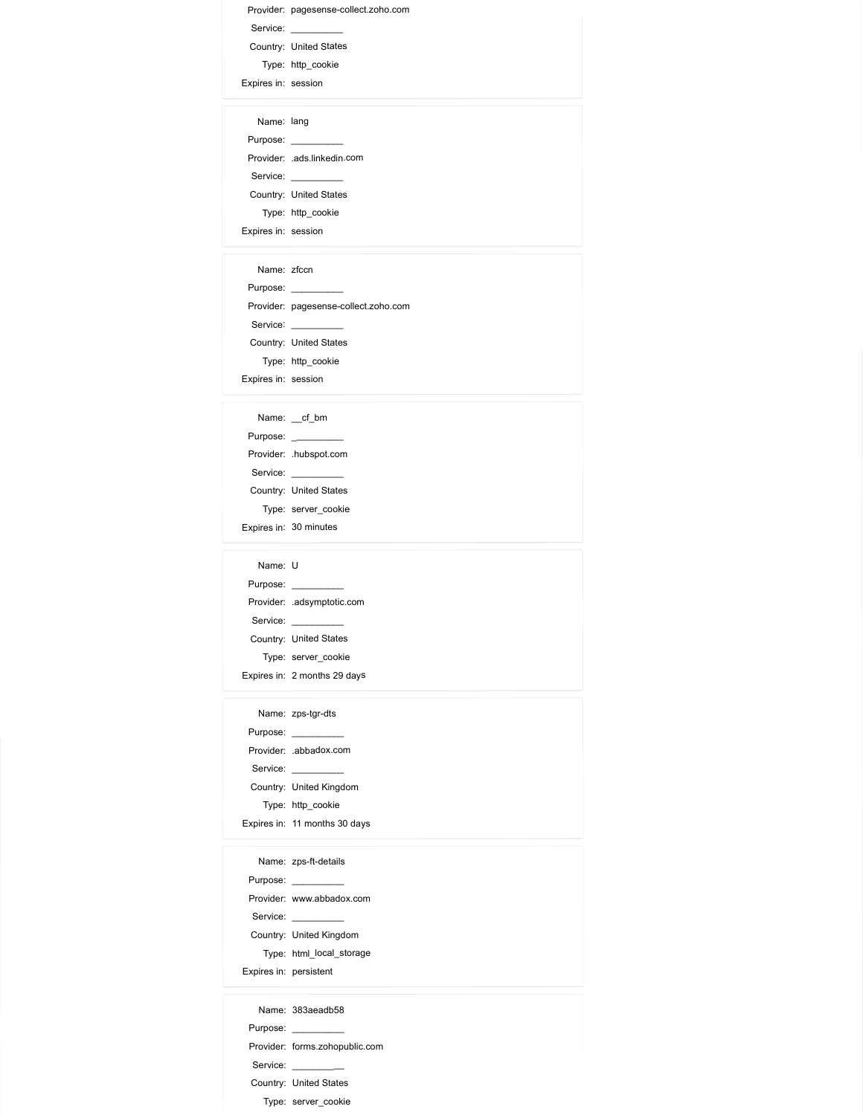Provider: pagesense-collect.zoho.com Service: \_\_\_\_\_\_\_\_\_\_ Provider: pagesense-collect.zoho.com<br>
Service: <u>Country:</u> United States<br>
Type: http\_cookie<br>
pires in: session<br>
Name: lang<br>
Rame: lang Type: http\_cookie Expires in: session Name: lang Purpose: \_\_\_\_\_\_\_\_\_\_ Provider: pagesense-collect.zoho.com<br>
Service: <u>Country:</u> United States<br>
Type: http\_cookie<br>
xpires in: session<br>
Name: lang<br>
Purpose: .<br>
Purpose: .<br>
Service: ...<br>
Country: United States<br>
Type: http\_cookie<br>
Type: http\_cookie Service: \_\_\_\_\_\_\_\_\_\_ Country: United States vider: pagesense-collect.zoho.com<br>
rvice:<br>
Type: http\_cookie<br>
Type: http\_cookie<br>
ame: lang<br>
pose:<br>
vider: ads.linkedin.com<br>
rvice:<br>
wider: ads.linkedin.com<br>
rvice:<br>
Type: http\_cookie<br>
Type: http\_cookie<br>
as in: session<br>
ala Provider: pagesense-collect.zoho.com<br>
Service:<br>
Type: http\_cookie<br>
Type: http\_cookie<br>
Expires in: session<br>
Name: lang<br>
Purpose:<br>
Mame: lang<br>
Provider: .ads.linkedin.com<br>
Service:<br>
Country: United States<br>
Type: http\_cookie<br> vider: pagesense-collect.zoho.com<br>
ervice:<br>
Type: http\_cookie<br>
Type: http\_cookie<br>
resin: session<br>
wider: ads.linkedin.com<br>
vider: ads.linkedin.com<br>
vider: ads.linkedin.com<br>
vider: builed States<br>
Name: zfccn<br>
Name: zfccn<br>
w

Provider: pagesense-collect.zoho.com<br>
Service:<br>
County: United States<br>
Type: http\_cookie<br>
Type: http\_cookie<br>
Purpose:<br>
Purpose:<br>
County: United States<br>
Type: http\_cookie<br>
Type: http\_cookie<br>
Purpose:<br>
Purpose:<br>
Purpose:<br>
Pu Provider: pagesense-collect.zoho.com<br>
Service: Collect.zoho.com<br>
County: United States<br>
Type: http.cookie<br>
primes: last<br>
Provider: ads.linkedin.com<br>
Service: ads.linkedin.com<br>
County: United States<br>
Type: http.cookie<br>
Name Service: \_\_\_\_\_\_\_\_\_\_ Pervisie:<br>
Service: <u>United States</u><br>
Country: United States<br>
Type: http\_cookie<br>
Name: lang<br>
Name: lang<br>
Name: and linkedin.com<br>
Service: and linkedin.com<br>
Country: United States<br>
Type: http\_cookie<br>
Name: zfcon<br>
Service: pa vider: pagesense-collect.zoho.com<br>minty:<br>Type: http\_cookie<br>manne: lang<br>ses: session<br>manne: lang<br>pose:<br>"Jone: ads.linkedin.com<br>Type: http\_cookie<br>manne: zicon<br>pose: ...<br>manne: zicon<br>pose: ...<br>minty: United States<br>wider: page Provider: Pagesense-collectrono.com<br>
Service:<br>
Country: United States<br>
Type: http\_cookie<br>
Types:<br>
Expires in: session<br>
Provider: ads.linkedin.com<br>
Service:<br>
Toury: United States<br>
Type: http\_cookie<br>
Xame: zfocn<br>
Name: zfocn munity<br>
online:<br>
Type: http\_cookie<br>
Name: lang<br>
Name: lang<br>
munity' United States<br>
Type: http\_cookie<br>
Type: http\_cookie<br>
Type: http\_cookie<br>
Name: ztcn<br>
munity' United States<br>
Type: thp\_cookie<br>
munity' United States<br>
Type: "yee". In un<br>
"Apple" ahs assion<br>
Name: Lang<br>
Purpose: .<br>
Purpose: .<br>
Service: .<br>
Service: .<br>
Type: . It in poolis<br>
Type: . It in poolis<br>
Purpose: .<br>
Name: .<br>
Touring: . .<br>
Purpose: .<br>
County: . United States<br>
Type: . It i Mame: lang<br>
Name: lang<br>
Phrovider: ...<br>
ads.linkedin.com<br>
Service: ...<br>
Sonvicy: ...<br>
The spot.com<br>
The spot is the poolis<br>
Type: ...<br>
Name: ...<br>
Phrovider: ...<br>
Phrovider: ...<br>
Type: ... http...<br>
Type: ... http...<br>
Type: Name: lang<br>
Name: ... ads.linkdein.com<br>
Service: ...<br>
Service: ...<br>
Type: http\_cookie<br>
Type: http\_cookie<br>
pires in: session<br>
Name: ...<br>
Service: ...<br>
Service: ...<br>
Service: ...<br>
Type: ...<br>
Name: ...<br>
Type: ...<br>
Name: ...<br> Name: lang<br>
Namps:<br>
Namps:<br>
Service: Langlandian<br>
Service: United States<br>
Type: http\_cookie<br>
(pies in: session<br>
Name: Zcon<br>
Name: Zcon<br>
Service: Langeaense-collect.zoho.com<br>
County: United States<br>
Type: http\_cookie<br>
Type: pose:<br>vider: ads linked States<br>with the United States<br>the three cookies<br>that are the cookies<br>that are the session<br>with United States<br>Type: http\_cookie<br>pose:<br>since the cookies<br>the states<br>pose:<br>the cookies<br>that are the cooki Provoer: aaslinneain.com<br>
Service:<br>
Scurity: United States<br>
Type: http\_cookie<br>
Expires in: session<br>
Name: zfccn<br>
Provider: pagesense-collect2oho.com<br>
Service:<br>
County: United States<br>
Type: http\_cookie<br>
Xame:  $\underbrace{-d\_bm}$ <br>
Na main y onne vases<br>
Type: http.cookie<br>
Name: Zicon<br>
Name: Zicon<br>
Mame: Zicon<br>
Mame: Zicon<br>
mytherical Catalogue<br>
Type: http.cookie<br>
Type: http.cookie<br>
Name:  $-fb$ <br>
Mame:  $-fb$ <br>
Mame:  $-fb$ <br>
Mame:  $-fb$ <br>
Mame:  $-fb$ <br>
wivider: hub Purpose: \_\_\_\_\_\_\_\_\_\_ Provider: .adsymptotic.com Name: zforn<br>
Name: <u>consecuese</u><br>
Service: pagesense-collect.zoho.com<br>
Service: <br>
Type: http\_cookia<br>
Type: http\_cookia<br>
Name:  $\frac{-d\_bm}{m}$ <br>
Name:  $\frac{-d\_bm}{m}$ <br>
Name:  $\frac{-d\_bm}{m}$ <br>
Service: hubspot.com<br>
Service:  $\frac{-d\_bm}{m}$ <br>
Se Name: 200<br>
Namps: <br>
Namps: (Country: United States<br>
Service: Interpolation States<br>
Type: http\_cookie<br>
(pines in: seasion<br>
Name: \_of\_bm<br>
Name: \_of\_bm<br>
Name: \_of\_bm<br>
Ocumpy: United States<br>
Type: server\_cookie<br>
Type: server\_c pose:<br>vider: pagesense-collectzoho.com<br>wider: United States<br>vider: http-cookie<br>wider: hubspot.com<br>wider: hubspot.com<br>wider: hubspot.com<br>Type: server\_cookie<br>pose:<br>sin: 30 minutes<br>pose:<br>wider: adsymptotic.com<br>pose:<br>Type: ser

Provider: pagesense-collections.com<br>
Service:<br>
County: United States<br>
Type: http.cookie<br>
Types: in: ession<br>
Provider: Thusport.com<br>
Provider: The Service:<br>
County: United States<br>
Type: sever cookie<br>
Xame: U<br>
Nupe: sever co ultury online and the state<br>Type: http.cookie<br>Name: <u>z</u>ef\_bm<br>Name: <u>z</u>ef\_bm<br>Type: sarver\_cookie<br>mysterical cookie<br>Type: sarver\_cookie<br>Name: U<br>Name: U<br>Name: U<br>Name: disamplotic.com<br>Type: sarver\_cookie<br>Type: sarver\_cookie<br>Ty Purpose: \_\_\_\_\_\_\_\_\_\_ Mame:  $\frac{-af}{dt}$  bm<br>
Name:  $\frac{-af}{dt}$  bm<br>
Provider: ...<br>
Mayon: ...<br>
Service: ...<br>
Service: ...<br>
Type: server\_cookie<br>
Type: ...<br>
Name: ...<br>
Provider: ...<br>
adsomption.com<br>
Service: ...<br>
Service: ...<br>
Type: server\_cookie<br>
Type Service: \_\_\_\_\_\_\_\_\_\_ Country: United Kingdom pose:<br>
vide: ...<br>
hubspot.com<br>
vide: ...<br>
stringe: sever\_cookie<br>
se in: ...<br>
30 minutes<br>
wide: ....<br>
assumption:<br>
wide: ...<br>
wide: ...<br>
Type: serve\_cookie<br>
se is: ...<br>
2 months 29 days<br>
pose:<br>
your: ...<br>
wide: ....<br>
abadox Pievolet ... Iuslept.com<br>
Service: ...<br>
Service: ...<br>
Type: server\_cookie<br>
Type: server\_cookie<br>
Name: U<br>
Name: U<br>
Proubler: ...<br>
Proupse: ...<br>
Type: server\_cookie<br>
Type: server\_cookie<br>
Type: server\_cookie<br>
Name: .zps-tgr-d unity:<br>
Virgin: sarver\_cookie<br>
Yppe: sarver\_cookie<br>
Name: U<br>
Name: Zps-ft-details<br>
The sarver\_cookie<br>
The sarver\_cookie<br>
The sarver\_cookie<br>
The sarver\_cookie<br>
The sarver\_cookie<br>
Mame: zps-ft-details<br>
Name: zps-ft-details<br>

"yer". server\_cookee<br>
reprise: http://www.com/cookeer.com/cookeer.com/cookeer.com/cookeer.com/cookeer.com/cookeer.com/cookeer.com/cookeer.com/cookeer.com/cookeer.com/cookeer.com/cookeer.com/cookeer.com/cookeer.com/cookeer. Mame: U<br>
Purpose: www.adexpropter.com<br>
Provider: with adaptive control<br>
Service: Country: United States<br>
Type: server\_cookie<br>
Type: http://discome.com/<br>
Name: zps-tyr-dts<br>
Purpose: where the state of the state of the state Service: \_\_\_\_\_\_\_\_\_\_ Name: U<br>
Namps: United Kingdom<br>
Service: Ladymptotic.com<br>
Service: United States<br>
Type: server\_cookie<br>
rignes: The Server\_cookie<br>
Name: zps-tgr-dds<br>
Name: zps-tgr-dds<br>
Service: Ladbadox.com<br>
Type: http\_cookie<br>
Type: http\_c Type: html\_local\_storage Provider: ansymptouc.com<br>
Service:<br>
Scurity: United States<br>
Type: server\_cookie<br>
Type: server\_cookie<br>
Name: zps-1gr-dts<br>
Provider: abbadox.com<br>
Service:<br>
County: United Kingdom<br>
Type: http\_cookie<br>
Xpires: r1 finoritha 30 d unium; unitera vastes<br>
Yppe: server\_cookie<br>
Name: 2ps-tgr-dts<br>
Name: 2ps-tgr-dts<br>
Name: 2ps-tgr-dts<br>
myne: <br>
wivider: abbadox.com<br>
Type: http\_cookie<br>
Type: http\_cookie<br>
Name: 2ps-ft-details<br>
Name: 2ps-ft-details<br>
Name: 2ps Purpose: \_\_\_\_\_\_\_\_\_\_ Mame: zps-Igr-dis<br>
Name: zps-Igr-dis<br>
Phovider: abbadox.com<br>
Service: abbadox.com<br>
Service: in the cooke<br>
Mame: zps-ft-details<br>
Name: zps-ft-details<br>
Name: zps-ft-details<br>
Phovier: www.abbadox.com<br>
Service: www.abbadox.com Service: \_\_\_\_\_\_\_\_\_\_ Name: 2gs-tgr-ast<br>
Numpe:<br>
Purpose:<br>
Service: United Kingdom<br>
Type: http\_country: United Kingdom<br>
Type: http\_country: United States<br>
Name: 2gs-R-details<br>
Numpe: 2gs-R-details<br>
Purpose: www.abbadox.com<br>
Service: www.abbadox pose:<br>
"Middel"... abbadox.com<br>
rivie:<br>
rivie: http\_cookie<br>
ses in: 11 months 30 days<br>
mane: zps-ft-details<br>
pose:<br>
"Weiver. www.abbadox.com<br>
rivie: "Weiled Kingdom<br>
Type: htm|\_local\_storage<br>
es in: persistent<br>
ame: 383aea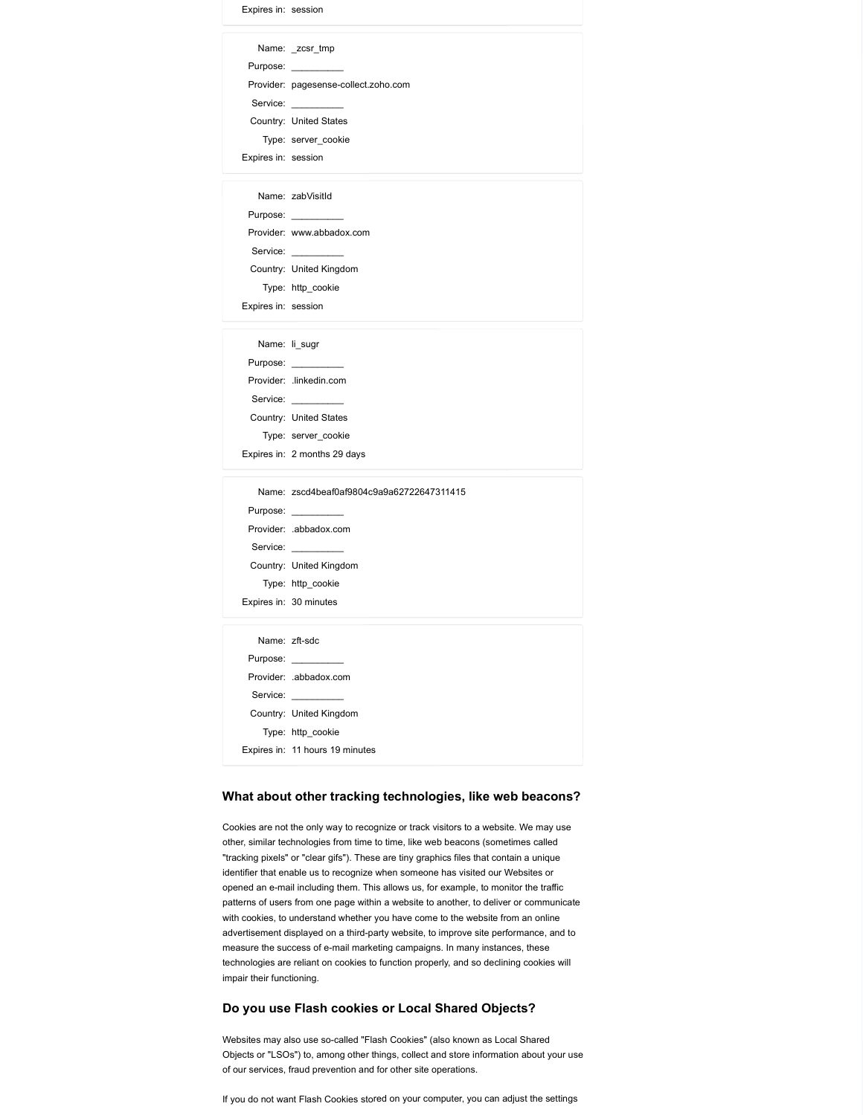| Expires in: session |                                                                                      |
|---------------------|--------------------------------------------------------------------------------------|
|                     | Name: _zcsr_tmp                                                                      |
|                     | Purpose:                                                                             |
|                     | Provider: pagesense-collect.zoho.com<br>Service: _________                           |
|                     | Country: United States                                                               |
|                     | Type: server_cookie                                                                  |
| Expires in: session |                                                                                      |
|                     | Name: zabVisitId                                                                     |
|                     | Purpose: ___________                                                                 |
|                     | Provider: www.abbadox.com<br>Service: __________                                     |
|                     | Country: United Kingdom                                                              |
|                     | Type: http_cookie                                                                    |
| Expires in: session |                                                                                      |
|                     | Name: li_sugr                                                                        |
|                     | Purpose: __________                                                                  |
|                     | Provider: .linkedin.com<br>Service:                                                  |
|                     | Country: United States                                                               |
|                     | Type: server_cookie                                                                  |
|                     | Expires in: 2 months 29 days                                                         |
|                     | Name: zscd4beaf0af9804c9a9a62722647311415                                            |
|                     | Purpose:                                                                             |
|                     | Provider: .abbadox.com<br>Service: __________                                        |
|                     | Country: United Kingdom                                                              |
|                     | Type: http_cookie                                                                    |
|                     | Expires in: 30 minutes                                                               |
|                     | Name: zft-sdc                                                                        |
|                     | Purpose:<br>Provider: .abbadox.com                                                   |
|                     | Service:                                                                             |
|                     | Country: United Kingdom                                                              |
|                     | Type: http_cookie                                                                    |
|                     | Expires in: 11 hours 19 minutes                                                      |
|                     | What about other tracking technologies, like web beacons?                            |
|                     |                                                                                      |
|                     | Cookies are not the only way to recognize or track visitors to a website. We may use |

### What about other tracking technologies, like web beacons?

Cookies are not the only way to recognize or track visitors to a website. We may use other, similar technologies from time to time, like web beacons (sometimes called "tracking pixels" or "clear gifs"). These are tiny graphics files that contain a unique identifier that enable us to recognize when someone has visited our Websites or opened an e-mail including them. This allows us, for example, to monitor the traffic patterns of users from one page within a website to another, to deliver or communicate with cookies, to understand whether you have come to the website from an online advertisement displayed on a third-party website, to improve site performance, and to measure the success of e-mail marketing campaigns. In many instances, these technologies are reliant on cookies to function properly, and so declining cookies will impair their functioning.

# Do you use Flash cookies or Local Shared Objects?

Websites may also use so-called "Flash Cookies" (also known as Local Shared Objects or "LSOs") to, among other things, collect and store information about your use of our services, fraud prevention and for other site operations.

If you do not want Flash Cookies stored on your computer, you can adjust the settings